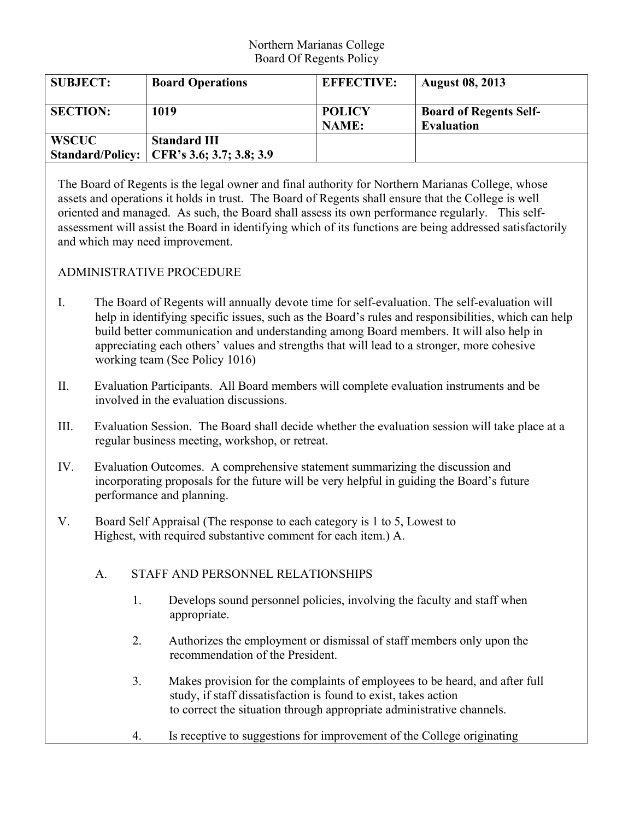## Northern Marianas College Board Of Regents Policy

| <b>SUBJECT:</b> | <b>Board Operations</b>                     | <b>EFFECTIVE:</b>             | <b>August 08, 2013</b>                             |
|-----------------|---------------------------------------------|-------------------------------|----------------------------------------------------|
| <b>SECTION:</b> | 1019                                        | <b>POLICY</b><br><b>NAME:</b> | <b>Board of Regents Self-</b><br><b>Evaluation</b> |
| <b>WSCUC</b>    | <b>Standard III</b>                         |                               |                                                    |
|                 | Standard/Policy:   CFR's 3.6; 3.7; 3.8; 3.9 |                               |                                                    |

The Board of Regents is the legal owner and final authority for Northern Marianas College, whose assets and operations it holds in trust. The Board of Regents shall ensure that the College is well oriented and managed. As such, the Board shall assess its own performance regularly. This selfassessment will assist the Board in identifying which of its functions are being addressed satisfactorily and which may need improvement.

## ADMINISTRATIVE PROCEDURE

- I. The Board of Regents will annually devote time for self-evaluation. The self-evaluation will help in identifying specific issues, such as the Board's rules and responsibilities, which can help build better communication and understanding among Board members. It will also help in appreciating each others' values and strengths that will lead to a stronger, more cohesive working team (See Policy 1016)
- II. Evaluation Participants. All Board members will complete evaluation instruments and be involved in the evaluation discussions.
- III. Evaluation Session. The Board shall decide whether the evaluation session will take place at a regular business meeting, workshop, or retreat.
- IV. Evaluation Outcomes. A comprehensive statement summarizing the discussion and incorporating proposals for the future will be very helpful in guiding the Board's future performance and planning.
- V. Board Self Appraisal (The response to each category is 1 to 5, Lowest to Highest, with required substantive comment for each item.) A.
	- A. STAFF AND PERSONNEL RELATIONSHIPS
		- 1. Develops sound personnel policies, involving the faculty and staff when appropriate.
		- 2. Authorizes the employment or dismissal of staff members only upon the recommendation of the President.
		- 3. Makes provision for the complaints of employees to be heard, and after full study, if staff dissatisfaction is found to exist, takes action to correct the situation through appropriate administrative channels.
		- 4. Is receptive to suggestions for improvement of the College originating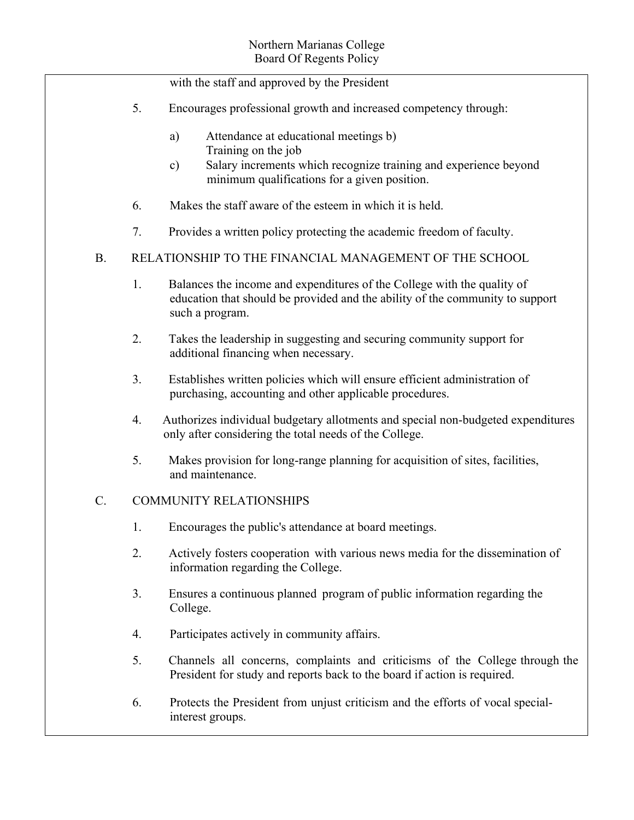|           |    | with the staff and approved by the President                                                                                                                                |  |  |
|-----------|----|-----------------------------------------------------------------------------------------------------------------------------------------------------------------------------|--|--|
|           | 5. | Encourages professional growth and increased competency through:                                                                                                            |  |  |
|           |    | a)<br>Attendance at educational meetings b)<br>Training on the job                                                                                                          |  |  |
|           |    | Salary increments which recognize training and experience beyond<br>$\mathbf{c})$<br>minimum qualifications for a given position.                                           |  |  |
|           | 6. | Makes the staff aware of the esteem in which it is held.                                                                                                                    |  |  |
|           | 7. | Provides a written policy protecting the academic freedom of faculty.                                                                                                       |  |  |
| <b>B.</b> |    | RELATIONSHIP TO THE FINANCIAL MANAGEMENT OF THE SCHOOL                                                                                                                      |  |  |
|           | 1. | Balances the income and expenditures of the College with the quality of<br>education that should be provided and the ability of the community to support<br>such a program. |  |  |
|           | 2. | Takes the leadership in suggesting and securing community support for<br>additional financing when necessary.                                                               |  |  |
|           | 3. | Establishes written policies which will ensure efficient administration of<br>purchasing, accounting and other applicable procedures.                                       |  |  |
|           | 4. | Authorizes individual budgetary allotments and special non-budgeted expenditures<br>only after considering the total needs of the College.                                  |  |  |
|           | 5. | Makes provision for long-range planning for acquisition of sites, facilities,<br>and maintenance.                                                                           |  |  |
| $C$ .     |    | <b>COMMUNITY RELATIONSHIPS</b>                                                                                                                                              |  |  |
|           | 1. | Encourages the public's attendance at board meetings.                                                                                                                       |  |  |
|           | 2. | Actively fosters cooperation with various news media for the dissemination of<br>information regarding the College.                                                         |  |  |
|           | 3. | Ensures a continuous planned program of public information regarding the<br>College.                                                                                        |  |  |
|           | 4. | Participates actively in community affairs.                                                                                                                                 |  |  |
|           | 5. | Channels all concerns, complaints and criticisms of the College through the<br>President for study and reports back to the board if action is required.                     |  |  |
|           | 6. | Protects the President from unjust criticism and the efforts of vocal special-<br>interest groups.                                                                          |  |  |
|           |    |                                                                                                                                                                             |  |  |